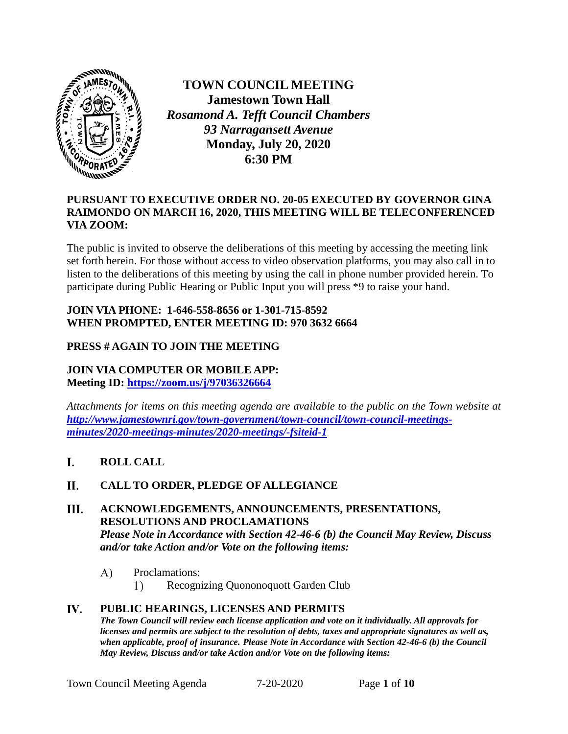

**TOWN COUNCIL MEETING Jamestown Town Hall** *Rosamond A. Tefft Council Chambers 93 Narragansett Avenue* **Monday, July 20, 2020 6:30 PM**

## **PURSUANT TO EXECUTIVE ORDER NO. 20-05 EXECUTED BY GOVERNOR GINA RAIMONDO ON MARCH 16, 2020, THIS MEETING WILL BE TELECONFERENCED VIA ZOOM:**

The public is invited to observe the deliberations of this meeting by accessing the meeting link set forth herein. For those without access to video observation platforms, you may also call in to listen to the deliberations of this meeting by using the call in phone number provided herein. To participate during Public Hearing or Public Input you will press \*9 to raise your hand.

## **JOIN VIA PHONE: 1-646-558-8656 or 1-301-715-8592 WHEN PROMPTED, ENTER MEETING ID: 970 3632 6664**

# **PRESS # AGAIN TO JOIN THE MEETING**

### **JOIN VIA COMPUTER OR MOBILE APP: Meeting ID:<https://zoom.us/j/97036326664>**

*Attachments for items on this meeting agenda are available to the public on the Town website at http://www.jamestownri.gov/town-government/town-council/town-council-meetingsminutes/2020-meetings-minutes/2020-meetings/-fsiteid-1*

#### L. **ROLL CALL**

#### П. **CALL TO ORDER, PLEDGE OF ALLEGIANCE**

### III. **ACKNOWLEDGEMENTS, ANNOUNCEMENTS, PRESENTATIONS, RESOLUTIONS AND PROCLAMATIONS**  *Please Note in Accordance with Section 42-46-6 (b) the Council May Review, Discuss and/or take Action and/or Vote on the following items:*

#### $\mathbf{A}$ Proclamations:

1) Recognizing Quononoquott Garden Club

### **PUBLIC HEARINGS, LICENSES AND PERMITS** *The Town Council will review each license application and vote on it individually. All approvals for licenses and permits are subject to the resolution of debts, taxes and appropriate signatures as well as, when applicable, proof of insurance. Please Note in Accordance with Section 42-46-6 (b) the Council May Review, Discuss and/or take Action and/or Vote on the following items:*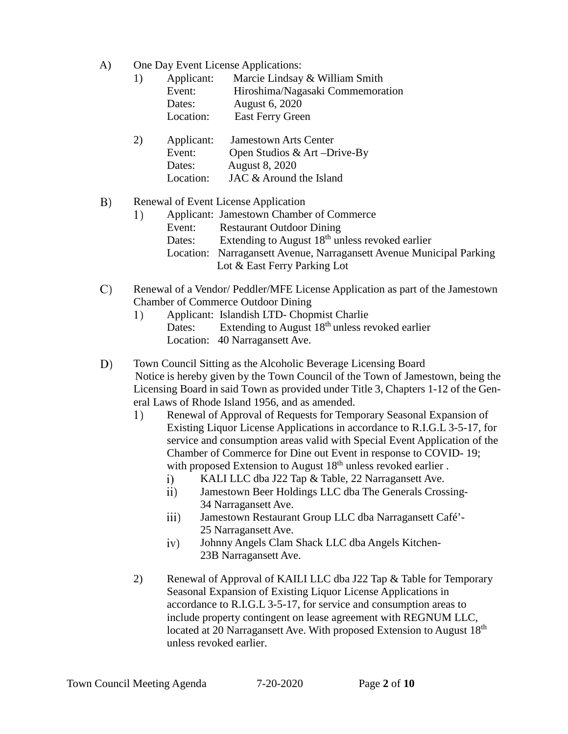A) One Day Event License Applications:

| 1) | Applicant: | Marcie Lindsay & William Smith   |
|----|------------|----------------------------------|
|    | Event:     | Hiroshima/Nagasaki Commemoration |
|    | Dates:     | August 6, 2020                   |
|    | Location:  | <b>East Ferry Green</b>          |

| 2) | Applicant: | <b>Jamestown Arts Center</b> |
|----|------------|------------------------------|
|    | Event:     | Open Studios & Art -Drive-By |
|    | Dates:     | August 8, 2020               |
|    | Location:  | JAC & Around the Island      |

#### B) Renewal of Event License Application

- Applicant: Jamestown Chamber of Commerce 1) Event: Restaurant Outdoor Dining Dates: Extending to August  $18<sup>th</sup>$  unless revoked earlier Location: Narragansett Avenue, Narragansett Avenue Municipal Parking Lot & East Ferry Parking Lot
- C) Renewal of a Vendor/ Peddler/MFE License Application as part of the Jamestown Chamber of Commerce Outdoor Dining
	- Applicant: Islandish LTD- Chopmist Charlie 1) Dates: Extending to August  $18<sup>th</sup>$  unless revoked earlier Location: 40 Narragansett Ave.

D) Town Council Sitting as the Alcoholic Beverage Licensing Board Notice is hereby given by the Town Council of the Town of Jamestown, being the Licensing Board in said Town as provided under Title 3, Chapters 1-12 of the General Laws of Rhode Island 1956, and as amended.

- $1)$ Renewal of Approval of Requests for Temporary Seasonal Expansion of Existing Liquor License Applications in accordance to R.I.G.L 3-5-17, for service and consumption areas valid with Special Event Application of the Chamber of Commerce for Dine out Event in response to COVID- 19; with proposed Extension to August 18<sup>th</sup> unless revoked earlier.
	- KALI LLC dba J22 Tap & Table, 22 Narragansett Ave.  $i)$
	- Jamestown Beer Holdings LLC dba The Generals Crossing- $\overline{ii}$ 34 Narragansett Ave.
	- iii) Jamestown Restaurant Group LLC dba Narragansett Café'- 25 Narragansett Ave.
	- $iv)$ Johnny Angels Clam Shack LLC dba Angels Kitchen-23B Narragansett Ave.
- 2) Renewal of Approval of KAILI LLC dba J22 Tap & Table for Temporary Seasonal Expansion of Existing Liquor License Applications in accordance to R.I.G.L 3-5-17, for service and consumption areas to include property contingent on lease agreement with REGNUM LLC, located at 20 Narragansett Ave. With proposed Extension to August 18<sup>th</sup> unless revoked earlier.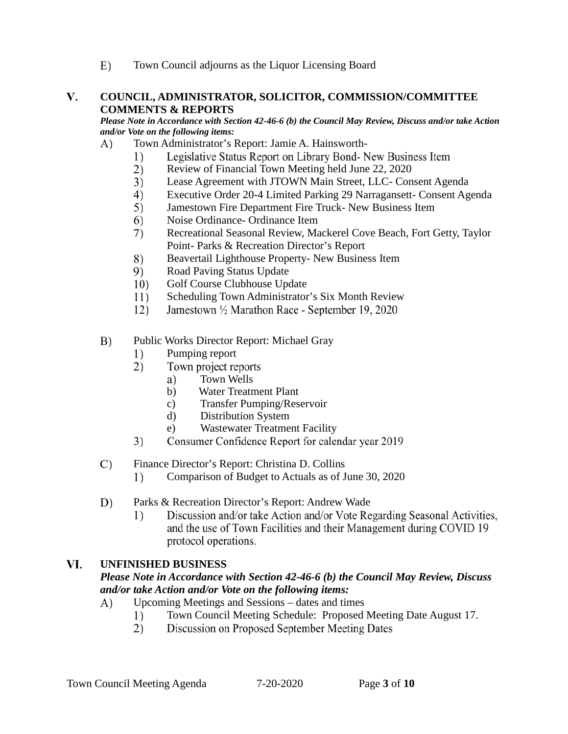$E)$ Town Council adjourns as the Liquor Licensing Board

### **COUNCIL, ADMINISTRATOR, SOLICITOR, COMMISSION/COMMITTEE**  V. **COMMENTS & REPORTS**

*Please Note in Accordance with Section 42-46-6 (b) the Council May Review, Discuss and/or take Action and/or Vote on the following items:* 

- A) Town Administrator's Report: Jamie A. Hainsworth-
	- 1) Legislative Status Report on Library Bond- New Business Item
	- $(2)$ Review of Financial Town Meeting held June 22, 2020
	- 3) Lease Agreement with JTOWN Main Street, LLC- Consent Agenda
	- $4)$ Executive Order 20-4 Limited Parking 29 Narragansett- Consent Agenda
	- 5) Jamestown Fire Department Fire Truck- New Business Item
	- 6) Noise Ordinance- Ordinance Item
	- Recreational Seasonal Review, Mackerel Cove Beach, Fort Getty, Taylor 7) Point- Parks & Recreation Director's Report
	- 8) Beavertail Lighthouse Property- New Business Item
	- 9) Road Paving Status Update
	- Golf Course Clubhouse Update 10)
	- 11) Scheduling Town Administrator's Six Month Review
	- 12) Jamestown 1/2 Marathon Race - September 19, 2020
- B) Public Works Director Report: Michael Gray
	- $1)$ Pumping report
	- $(2)$ Town project reports
		- Town Wells a)
		- b) Water Treatment Plant
		- c) Transfer Pumping/Reservoir
		- d) Distribution System
		- e) Wastewater Treatment Facility
	- Consumer Confidence Report for calendar year 2019 3)

#### $\mathcal{C}$ Finance Director's Report: Christina D. Collins

- $1)$ Comparison of Budget to Actuals as of June 30, 2020
- D) Parks & Recreation Director's Report: Andrew Wade
	- Discussion and/or take Action and/or Vote Regarding Seasonal Activities, 1) and the use of Town Facilities and their Management during COVID 19 protocol operations.

#### VI. **UNFINISHED BUSINESS**

### *Please Note in Accordance with Section 42-46-6 (b) the Council May Review, Discuss and/or take Action and/or Vote on the following items:*

- Upcoming Meetings and Sessions dates and times A)
	- Town Council Meeting Schedule: Proposed Meeting Date August 17.1)
	- $(2)$ Discussion on Proposed September Meeting Dates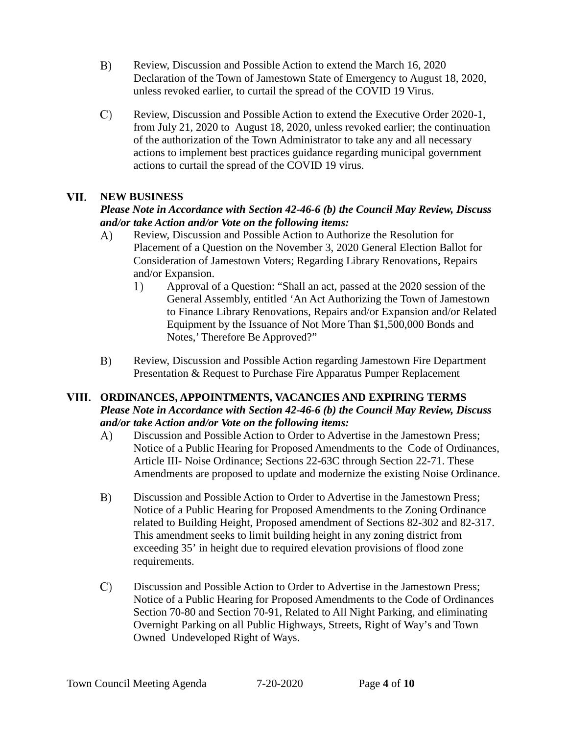- B) Review, Discussion and Possible Action to extend the March 16, 2020 Declaration of the Town of Jamestown State of Emergency to August 18, 2020, unless revoked earlier, to curtail the spread of the COVID 19 Virus.
- C) Review, Discussion and Possible Action to extend the Executive Order 2020-1, from July 21, 2020 to August 18, 2020, unless revoked earlier; the continuation of the authorization of the Town Administrator to take any and all necessary actions to implement best practices guidance regarding municipal government actions to curtail the spread of the COVID 19 virus.

#### VII. **NEW BUSINESS**

# *Please Note in Accordance with Section 42-46-6 (b) the Council May Review, Discuss and/or take Action and/or Vote on the following items:*

- Review, Discussion and Possible Action to Authorize the Resolution for A) Placement of a Question on the November 3, 2020 General Election Ballot for Consideration of Jamestown Voters; Regarding Library Renovations, Repairs and/or Expansion.
	- $1)$ Approval of a Question: "Shall an act, passed at the 2020 session of the General Assembly, entitled 'An Act Authorizing the Town of Jamestown to Finance Library Renovations, Repairs and/or Expansion and/or Related Equipment by the Issuance of Not More Than \$1,500,000 Bonds and Notes,' Therefore Be Approved?"
- $B)$ Review, Discussion and Possible Action regarding Jamestown Fire Department Presentation & Request to Purchase Fire Apparatus Pumper Replacement

## **ORDINANCES, APPOINTMENTS, VACANCIES AND EXPIRING TERMS** *Please Note in Accordance with Section 42-46-6 (b) the Council May Review, Discuss and/or take Action and/or Vote on the following items:*

- A) Discussion and Possible Action to Order to Advertise in the Jamestown Press; Notice of a Public Hearing for Proposed Amendments to the Code of Ordinances, Article III- Noise Ordinance; Sections 22-63C through Section 22-71. These Amendments are proposed to update and modernize the existing Noise Ordinance.
- B) Discussion and Possible Action to Order to Advertise in the Jamestown Press; Notice of a Public Hearing for Proposed Amendments to the Zoning Ordinance related to Building Height, Proposed amendment of Sections 82-302 and 82-317. This amendment seeks to limit building height in any zoning district from exceeding 35' in height due to required elevation provisions of flood zone requirements.
- $\mathcal{C}$ Discussion and Possible Action to Order to Advertise in the Jamestown Press; Notice of a Public Hearing for Proposed Amendments to the Code of Ordinances Section 70-80 and Section 70-91, Related to All Night Parking, and eliminating Overnight Parking on all Public Highways, Streets, Right of Way's and Town Owned Undeveloped Right of Ways.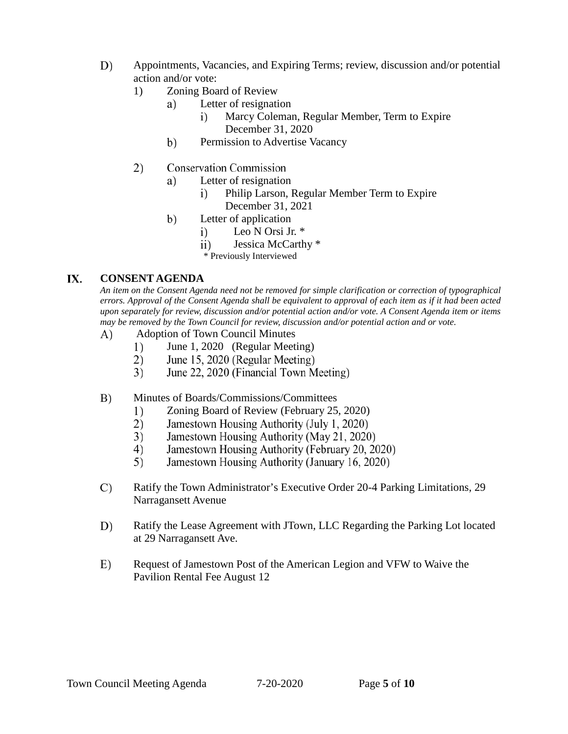- D) Appointments, Vacancies, and Expiring Terms; review, discussion and/or potential action and/or vote:
	- 1) Zoning Board of Review
		- a) Letter of resignation
			- Marcy Coleman, Regular Member, Term to Expire  $i)$ December 31, 2020
		- b) Permission to Advertise Vacancy
	- 2) **Conservation Commission** 
		- Letter of resignation a)
			- Philip Larson, Regular Member Term to Expire  $\ddot{i}$ December 31, 2021
		- $b)$ Letter of application
			- Leo N Orsi Jr. \* i)
			- ii) Jessica McCarthy \*<br>\* Previously Interviewed
			-

#### IX. **CONSENT AGENDA**

*An item on the Consent Agenda need not be removed for simple clarification or correction of typographical errors. Approval of the Consent Agenda shall be equivalent to approval of each item as if it had been acted upon separately for review, discussion and/or potential action and/or vote. A Consent Agenda item or items may be removed by the Town Council for review, discussion and/or potential action and or vote.*

- A) Adoption of Town Council Minutes
	- $1)$ June 1, 2020 (Regular Meeting)
	- $(2)$ June 15, 2020 (Regular Meeting)
	- $3)$ June 22, 2020 (Financial Town Meeting)
- $B)$ Minutes of Boards/Commissions/Committees
	- 1) Zoning Board of Review (February 25, 2020)
	- $2)$ Jamestown Housing Authority (July 1, 2020)
	- 3) Jamestown Housing Authority (May 21, 2020)
	- 4) Jamestown Housing Authority (February 20, 2020)
	- 5) Jamestown Housing Authority (January 16, 2020)
- C) Ratify the Town Administrator's Executive Order 20-4 Parking Limitations, 29 Narragansett Avenue
- D) Ratify the Lease Agreement with JTown, LLC Regarding the Parking Lot located at 29 Narragansett Ave.
- E) Request of Jamestown Post of the American Legion and VFW to Waive the Pavilion Rental Fee August 12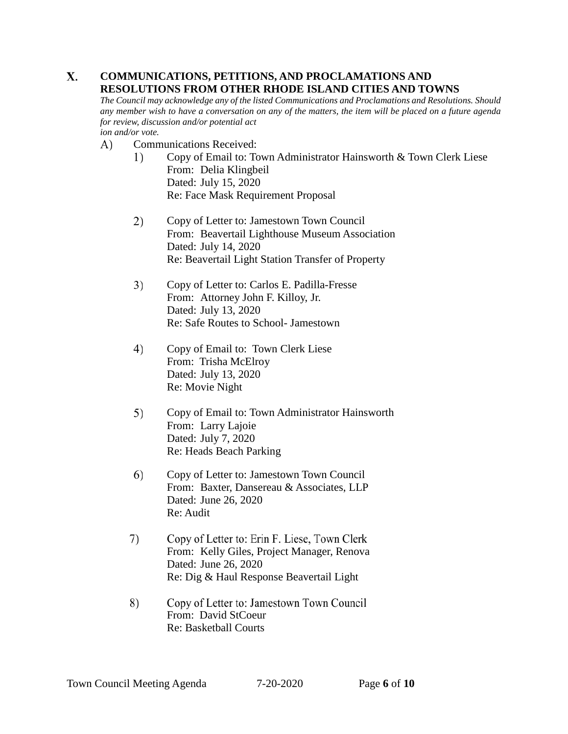### X. **COMMUNICATIONS, PETITIONS, AND PROCLAMATIONS AND RESOLUTIONS FROM OTHER RHODE ISLAND CITIES AND TOWNS**

*The Council may acknowledge any of the listed Communications and Proclamations and Resolutions. Should any member wish to have a conversation on any of the matters, the item will be placed on a future agenda for review, discussion and/or potential act ion and/or vote.* 

Communications Received: A)

- $1)$ Copy of Email to: Town Administrator Hainsworth & Town Clerk Liese From: Delia Klingbeil Dated: July 15, 2020 Re: Face Mask Requirement Proposal
- $2)$ Copy of Letter to: Jamestown Town Council From: Beavertail Lighthouse Museum Association Dated: July 14, 2020 Re: Beavertail Light Station Transfer of Property
- 3) Copy of Letter to: Carlos E. Padilla-Fresse From: Attorney John F. Killoy, Jr. Dated: July 13, 2020 Re: Safe Routes to School- Jamestown
- 4) Copy of Email to: Town Clerk Liese From: Trisha McElroy Dated: July 13, 2020 Re: Movie Night
- $5)$ Copy of Email to: Town Administrator Hainsworth From: Larry Lajoie Dated: July 7, 2020 Re: Heads Beach Parking
- 6) Copy of Letter to: Jamestown Town Council From: Baxter, Dansereau & Associates, LLP Dated: June 26, 2020 Re: Audit
- 7) Copy of Letter to: Erin F. Liese, Town Clerk From: Kelly Giles, Project Manager, Renova Dated: June 26, 2020 Re: Dig & Haul Response Beavertail Light
- 8) Copy of Letter to: Jamestown Town Council From: David StCoeur Re: Basketball Courts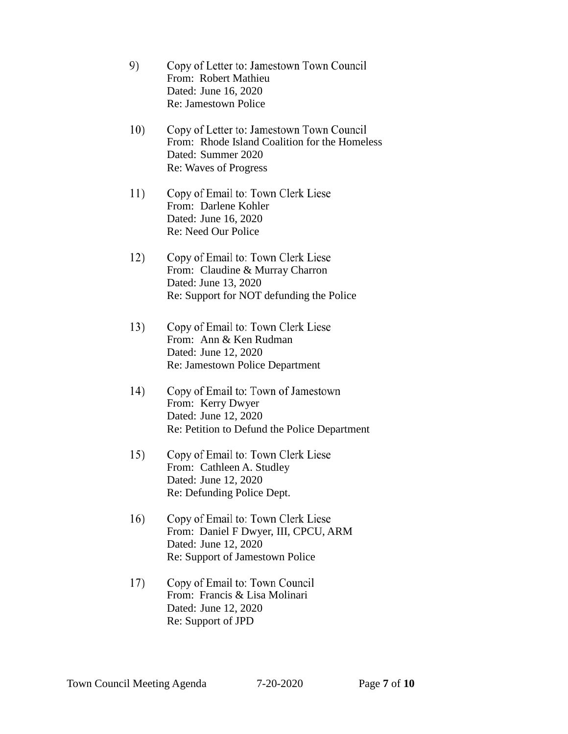- 9) Copy of Letter to: Jamestown Town Council From: Robert Mathieu Dated: June 16, 2020 Re: Jamestown Police
- 10) Copy of Letter to: Jamestown Town Council From: Rhode Island Coalition for the Homeless Dated: Summer 2020 Re: Waves of Progress
- 11) Copy of Email to: Town Clerk Liese From: Darlene Kohler Dated: June 16, 2020 Re: Need Our Police
- 12) Copy of Email to: Town Clerk Liese From: Claudine & Murray Charron Dated: June 13, 2020 Re: Support for NOT defunding the Police
- $13)$ Copy of Email to: Town Clerk Liese From: Ann & Ken Rudman Dated: June 12, 2020 Re: Jamestown Police Department
- 14) Copy of Email to: Town of Jamestown From: Kerry Dwyer Dated: June 12, 2020 Re: Petition to Defund the Police Department
- Copy of Email to: Town Clerk Liese 15) From: Cathleen A. Studley Dated: June 12, 2020 Re: Defunding Police Dept.
- 16) Copy of Email to: Town Clerk Liese From: Daniel F Dwyer, III, CPCU, ARM Dated: June 12, 2020 Re: Support of Jamestown Police
- 17) Copy of Email to: Town Council From: Francis & Lisa Molinari Dated: June 12, 2020 Re: Support of JPD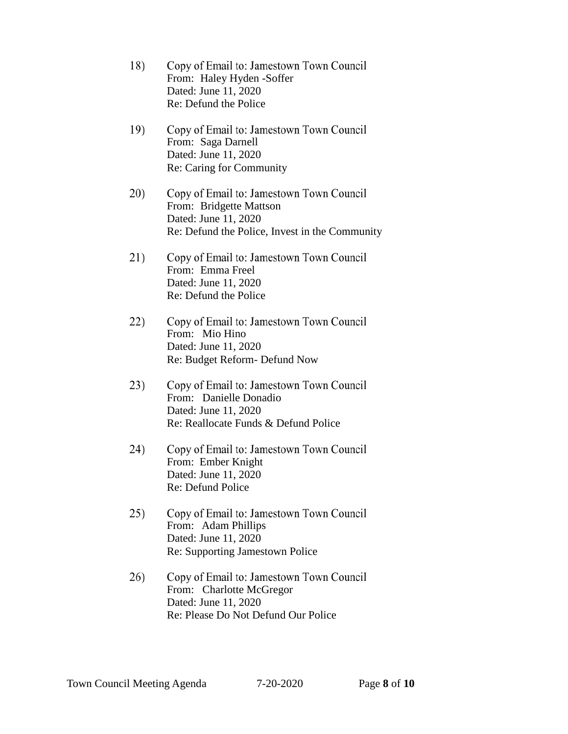- 18) Copy of Email to: Jamestown Town Council From: Haley Hyden -Soffer Dated: June 11, 2020 Re: Defund the Police
- 19) Copy of Email to: Jamestown Town Council From: Saga Darnell Dated: June 11, 2020 Re: Caring for Community
- 20) Copy of Email to: Jamestown Town Council From: Bridgette Mattson Dated: June 11, 2020 Re: Defund the Police, Invest in the Community
- 21) Copy of Email to: Jamestown Town Council From: Emma Freel Dated: June 11, 2020 Re: Defund the Police
- 22) Copy of Email to: Jamestown Town Council From: Mio Hino Dated: June 11, 2020 Re: Budget Reform- Defund Now
- 23) Copy of Email to: Jamestown Town Council From: Danielle Donadio Dated: June 11, 2020 Re: Reallocate Funds & Defund Police
- 24) Copy of Email to: Jamestown Town Council From: Ember Knight Dated: June 11, 2020 Re: Defund Police
- 25) Copy of Email to: Jamestown Town Council From: Adam Phillips Dated: June 11, 2020 Re: Supporting Jamestown Police
- 26) Copy of Email to: Jamestown Town Council From: Charlotte McGregor Dated: June 11, 2020 Re: Please Do Not Defund Our Police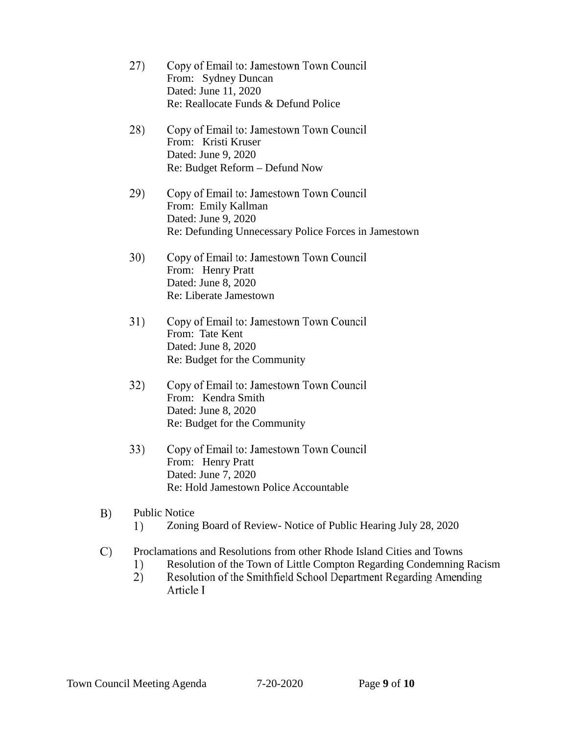- 27) Copy of Email to: Jamestown Town Council From: Sydney Duncan Dated: June 11, 2020 Re: Reallocate Funds & Defund Police
- 28) Copy of Email to: Jamestown Town Council From: Kristi Kruser Dated: June 9, 2020 Re: Budget Reform – Defund Now
- 29) Copy of Email to: Jamestown Town Council From: Emily Kallman Dated: June 9, 2020 Re: Defunding Unnecessary Police Forces in Jamestown
- 30) Copy of Email to: Jamestown Town Council From: Henry Pratt Dated: June 8, 2020 Re: Liberate Jamestown
- 31) Copy of Email to: Jamestown Town Council From: Tate Kent Dated: June 8, 2020 Re: Budget for the Community
- 32) Copy of Email to: Jamestown Town Council From: Kendra Smith Dated: June 8, 2020 Re: Budget for the Community
- $33)$ Copy of Email to: Jamestown Town Council From: Henry Pratt Dated: June 7, 2020 Re: Hold Jamestown Police Accountable
- B) Public Notice  $1)$ Zoning Board of Review- Notice of Public Hearing July 28, 2020
- $\mathcal{C}$ Proclamations and Resolutions from other Rhode Island Cities and Towns
	- Resolution of the Town of Little Compton Regarding Condemning Racism1)
	- $2)$ Resolution of the Smithfield School Department Regarding Amending Article I